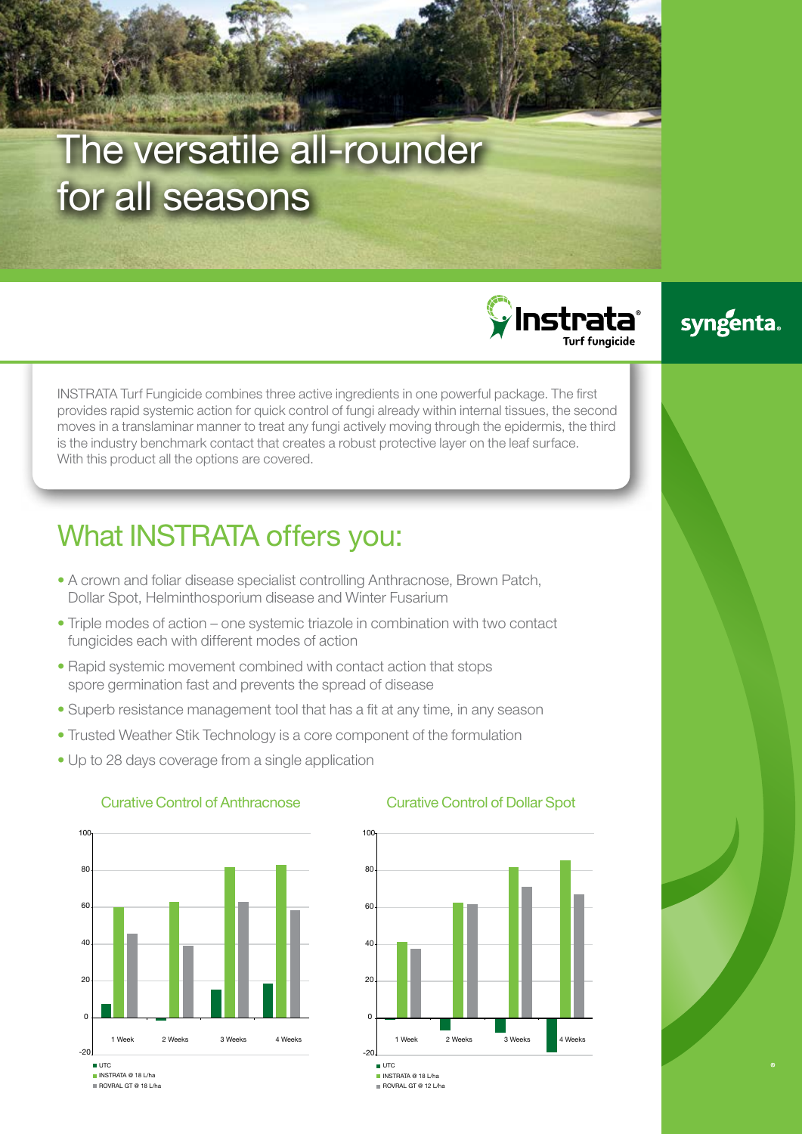# The versatile all-rounder for all seasons

 $\mathbf \Omega$ Instratat Turf fungicide

### syngenta.

INSTRATA Turf Fungicide combines three active ingredients in one powerful package. The first provides rapid systemic action for quick control of fungi already within internal tissues, the second moves in a translaminar manner to treat any fungi actively moving through the epidermis, the third is the industry benchmark contact that creates a robust protective layer on the leaf surface. With this product all the options are covered.

## What INSTRATA offers you:

- A crown and foliar disease specialist controlling Anthracnose, Brown Patch, Dollar Spot, Helminthosporium disease and Winter Fusarium
- Triple modes of action one systemic triazole in combination with two contact fungicides each with different modes of action
- Rapid systemic movement combined with contact action that stops spore germination fast and prevents the spread of disease
- Superb resistance management tool that has a fit at any time, in any season
- Trusted Weather Stik Technology is a core component of the formulation
- Up to 28 days coverage from a single application



### Curative Control of Anthracnose



Curative Control of Dollar Spot

 $\blacksquare$  UTC INSTRATA @ 18 L/ha ROVRAL GT @ 12 L/ha